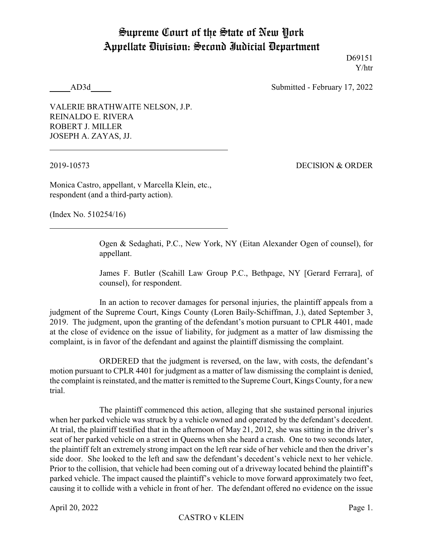## Supreme Court of the State of New York Appellate Division: Second Judicial Department

D69151 Y/htr

AD3d Submitted - February 17, 2022

VALERIE BRATHWAITE NELSON, J.P. REINALDO E. RIVERA ROBERT J. MILLER JOSEPH A. ZAYAS, JJ.

2019-10573 DECISION & ORDER

Monica Castro, appellant, v Marcella Klein, etc., respondent (and a third-party action).

(Index No. 510254/16)

Ogen & Sedaghati, P.C., New York, NY (Eitan Alexander Ogen of counsel), for appellant.

James F. Butler (Scahill Law Group P.C., Bethpage, NY [Gerard Ferrara], of counsel), for respondent.

In an action to recover damages for personal injuries, the plaintiff appeals from a judgment of the Supreme Court, Kings County (Loren Baily-Schiffman, J.), dated September 3, 2019. The judgment, upon the granting of the defendant's motion pursuant to CPLR 4401, made at the close of evidence on the issue of liability, for judgment as a matter of law dismissing the complaint, is in favor of the defendant and against the plaintiff dismissing the complaint.

ORDERED that the judgment is reversed, on the law, with costs, the defendant's motion pursuant to CPLR 4401 for judgment as a matter of law dismissing the complaint is denied, the complaint is reinstated, and the matter is remitted to the Supreme Court, Kings County, for a new trial.

The plaintiff commenced this action, alleging that she sustained personal injuries when her parked vehicle was struck by a vehicle owned and operated by the defendant's decedent. At trial, the plaintiff testified that in the afternoon of May 21, 2012, she was sitting in the driver's seat of her parked vehicle on a street in Queens when she heard a crash. One to two seconds later, the plaintiff felt an extremely strong impact on the left rear side of her vehicle and then the driver's side door. She looked to the left and saw the defendant's decedent's vehicle next to her vehicle. Prior to the collision, that vehicle had been coming out of a driveway located behind the plaintiff's parked vehicle. The impact caused the plaintiff's vehicle to move forward approximately two feet, causing it to collide with a vehicle in front of her. The defendant offered no evidence on the issue

April 20, 2022 Page 1.